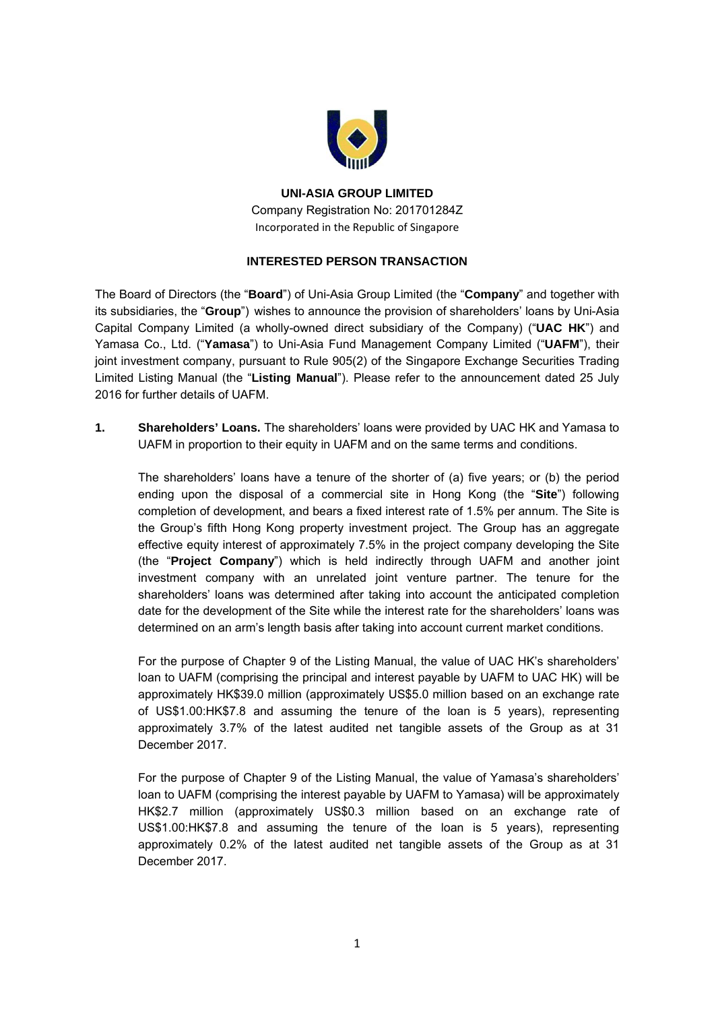

**UNI-ASIA GROUP LIMITED**  Company Registration No: 201701284Z Incorporated in the Republic of Singapore

## **INTERESTED PERSON TRANSACTION**

The Board of Directors (the "**Board**") of Uni-Asia Group Limited (the "**Company**" and together with its subsidiaries, the "**Group**") wishes to announce the provision of shareholders' loans by Uni-Asia Capital Company Limited (a wholly-owned direct subsidiary of the Company) ("**UAC HK**") and Yamasa Co., Ltd. ("**Yamasa**") to Uni-Asia Fund Management Company Limited ("**UAFM**"), their joint investment company, pursuant to Rule 905(2) of the Singapore Exchange Securities Trading Limited Listing Manual (the "**Listing Manual**"). Please refer to the announcement dated 25 July 2016 for further details of UAFM.

**1. Shareholders' Loans.** The shareholders' loans were provided by UAC HK and Yamasa to UAFM in proportion to their equity in UAFM and on the same terms and conditions.

The shareholders' loans have a tenure of the shorter of (a) five years; or (b) the period ending upon the disposal of a commercial site in Hong Kong (the "**Site**") following completion of development, and bears a fixed interest rate of 1.5% per annum. The Site is the Group's fifth Hong Kong property investment project. The Group has an aggregate effective equity interest of approximately 7.5% in the project company developing the Site (the "**Project Company**") which is held indirectly through UAFM and another joint investment company with an unrelated joint venture partner. The tenure for the shareholders' loans was determined after taking into account the anticipated completion date for the development of the Site while the interest rate for the shareholders' loans was determined on an arm's length basis after taking into account current market conditions.

For the purpose of Chapter 9 of the Listing Manual, the value of UAC HK's shareholders' loan to UAFM (comprising the principal and interest payable by UAFM to UAC HK) will be approximately HK\$39.0 million (approximately US\$5.0 million based on an exchange rate of US\$1.00:HK\$7.8 and assuming the tenure of the loan is 5 years), representing approximately 3.7% of the latest audited net tangible assets of the Group as at 31 December 2017.

For the purpose of Chapter 9 of the Listing Manual, the value of Yamasa's shareholders' loan to UAFM (comprising the interest payable by UAFM to Yamasa) will be approximately HK\$2.7 million (approximately US\$0.3 million based on an exchange rate of US\$1.00:HK\$7.8 and assuming the tenure of the loan is 5 years), representing approximately 0.2% of the latest audited net tangible assets of the Group as at 31 December 2017.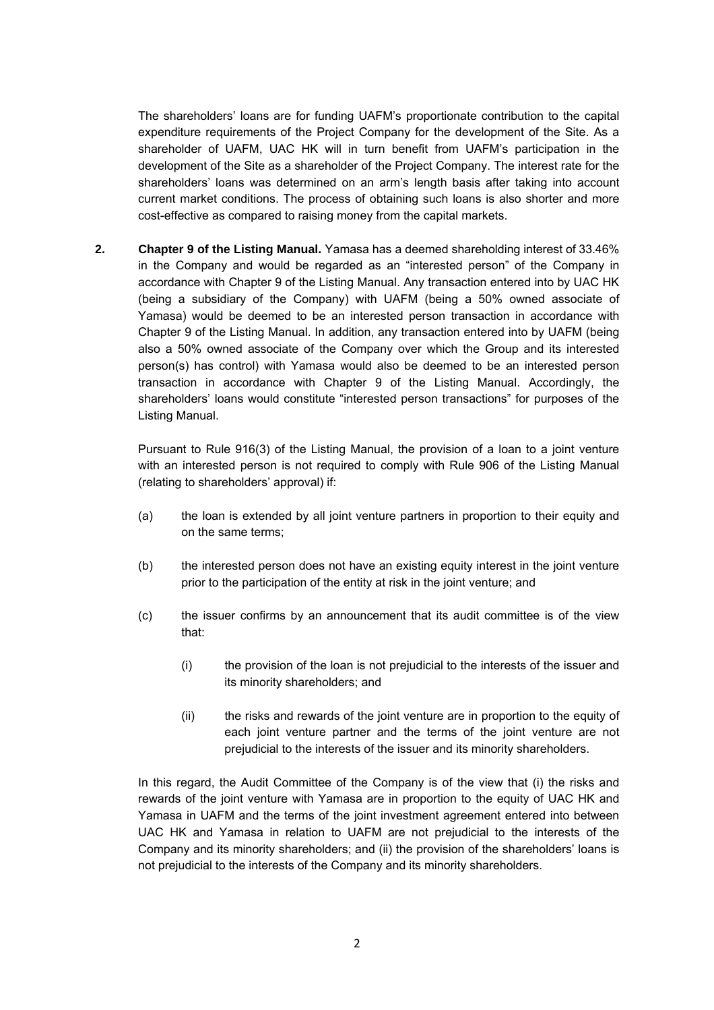The shareholders' loans are for funding UAFM's proportionate contribution to the capital expenditure requirements of the Project Company for the development of the Site. As a shareholder of UAFM, UAC HK will in turn benefit from UAFM's participation in the development of the Site as a shareholder of the Project Company. The interest rate for the shareholders' loans was determined on an arm's length basis after taking into account current market conditions. The process of obtaining such loans is also shorter and more cost-effective as compared to raising money from the capital markets.

**2. Chapter 9 of the Listing Manual.** Yamasa has a deemed shareholding interest of 33.46% in the Company and would be regarded as an "interested person" of the Company in accordance with Chapter 9 of the Listing Manual. Any transaction entered into by UAC HK (being a subsidiary of the Company) with UAFM (being a 50% owned associate of Yamasa) would be deemed to be an interested person transaction in accordance with Chapter 9 of the Listing Manual. In addition, any transaction entered into by UAFM (being also a 50% owned associate of the Company over which the Group and its interested person(s) has control) with Yamasa would also be deemed to be an interested person transaction in accordance with Chapter 9 of the Listing Manual. Accordingly, the shareholders' loans would constitute "interested person transactions" for purposes of the Listing Manual.

Pursuant to Rule 916(3) of the Listing Manual, the provision of a loan to a joint venture with an interested person is not required to comply with Rule 906 of the Listing Manual (relating to shareholders' approval) if:

- (a) the loan is extended by all joint venture partners in proportion to their equity and on the same terms;
- (b) the interested person does not have an existing equity interest in the joint venture prior to the participation of the entity at risk in the joint venture; and
- (c) the issuer confirms by an announcement that its audit committee is of the view that:
	- (i) the provision of the loan is not prejudicial to the interests of the issuer and its minority shareholders; and
	- (ii) the risks and rewards of the joint venture are in proportion to the equity of each joint venture partner and the terms of the joint venture are not prejudicial to the interests of the issuer and its minority shareholders.

In this regard, the Audit Committee of the Company is of the view that (i) the risks and rewards of the joint venture with Yamasa are in proportion to the equity of UAC HK and Yamasa in UAFM and the terms of the joint investment agreement entered into between UAC HK and Yamasa in relation to UAFM are not prejudicial to the interests of the Company and its minority shareholders; and (ii) the provision of the shareholders' loans is not prejudicial to the interests of the Company and its minority shareholders.